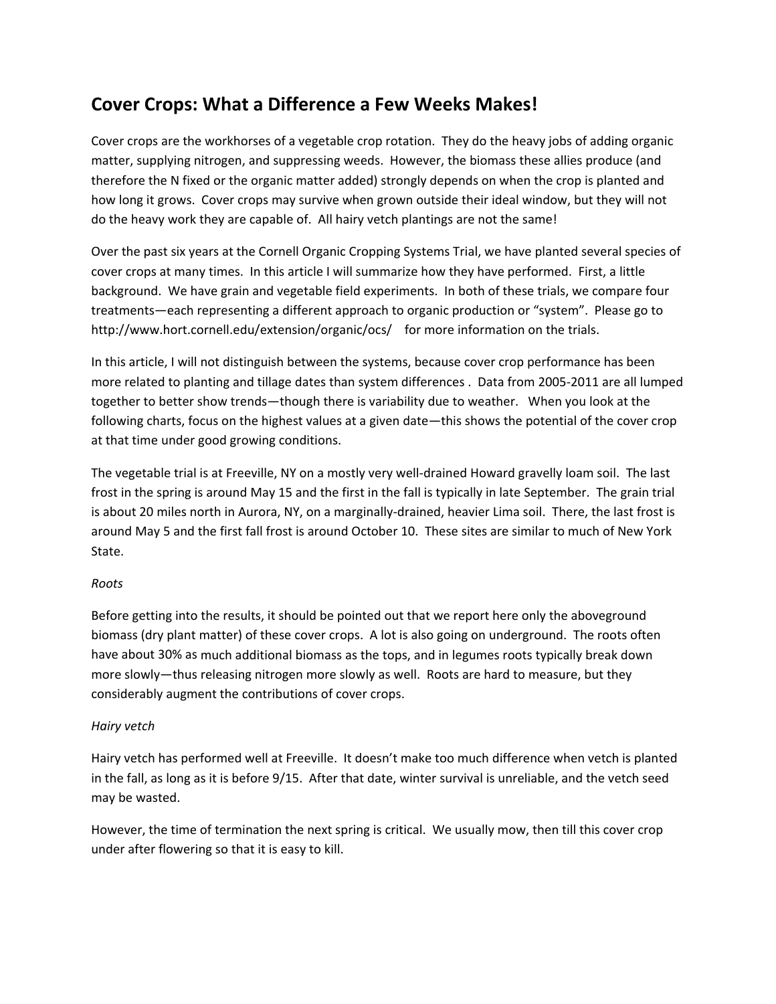# **Cover Crops: What a Difference a Few Weeks Makes!**

Cover crops are the workhorses of a vegetable crop rotation. They do the heavy jobs of adding organic matter, supplying nitrogen, and suppressing weeds. However, the biomass these allies produce (and therefore the N fixed or the organic matter added) strongly depends on when the crop is planted and how long it grows. Cover crops may survive when grown outside their ideal window, but they will not do the heavy work they are capable of. All hairy vetch plantings are not the same!

Over the past six years at the Cornell Organic Cropping Systems Trial, we have planted several species of cover crops at many times. In this article I will summarize how they have performed. First, a little background. We have grain and vegetable field experiments. In both of these trials, we compare four treatments—each representing a different approach to organic production or "system". Please go to http://www.hort.cornell.edu/extension/organic/ocs/ for more information on the trials.

In this article, I will not distinguish between the systems, because cover crop performance has been more related to planting and tillage dates than system differences . Data from 2005‐2011 are all lumped together to better show trends—though there is variability due to weather. When you look at the following charts, focus on the highest values at a given date—this shows the potential of the cover crop at that time under good growing conditions.

The vegetable trial is at Freeville, NY on a mostly very well‐drained Howard gravelly loam soil. The last frost in the spring is around May 15 and the first in the fall is typically in late September. The grain trial is about 20 miles north in Aurora, NY, on a marginally‐drained, heavier Lima soil. There, the last frost is around May 5 and the first fall frost is around October 10. These sites are similar to much of New York State.

## *Roots*

Before getting into the results, it should be pointed out that we report here only the aboveground biomass (dry plant matter) of these cover crops. A lot is also going on underground. The roots often have about 30% as much additional biomass as the tops, and in legumes roots typically break down more slowly—thus releasing nitrogen more slowly as well. Roots are hard to measure, but they considerably augment the contributions of cover crops.

#### *Hairy vetch*

Hairy vetch has performed well at Freeville. It doesn't make too much difference when vetch is planted in the fall, as long as it is before 9/15. After that date, winter survival is unreliable, and the vetch seed may be wasted.

However, the time of termination the next spring is critical. We usually mow, then till this cover crop under after flowering so that it is easy to kill.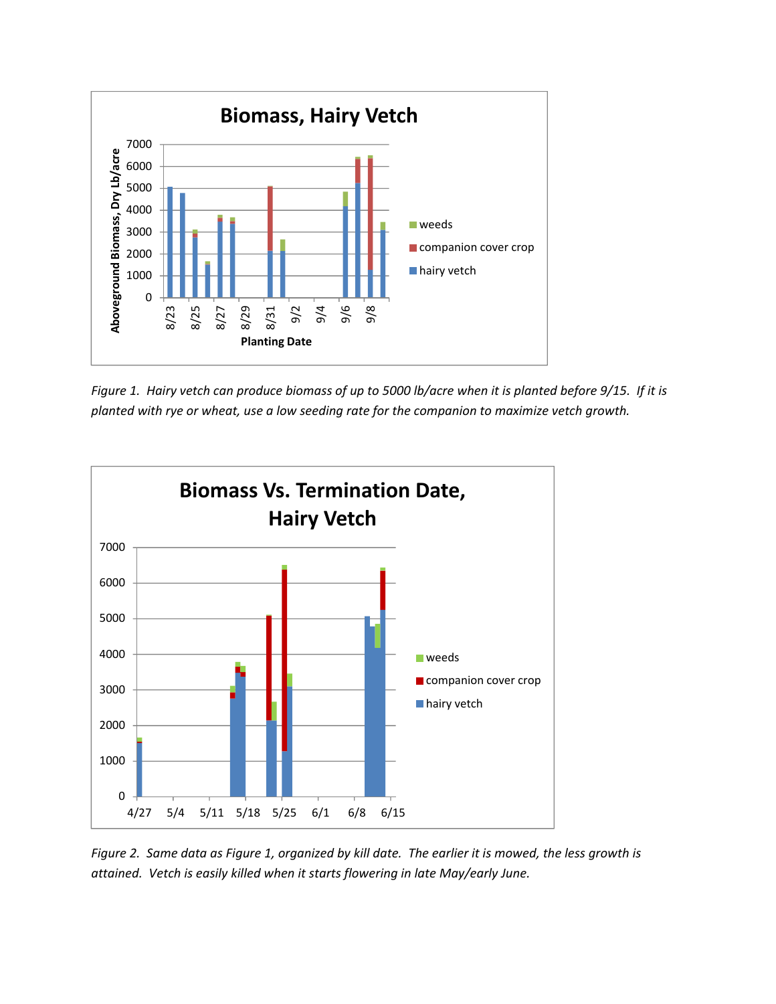

Figure 1. Hairy vetch can produce biomass of up to 5000 lb/acre when it is planted before 9/15. If it is *planted with rye or wheat, use a low seeding rate for the companion to maximize vetch growth.*



Figure 2. Same data as Figure 1, organized by kill date. The earlier it is mowed, the less growth is *attained. Vetch is easily killed when it starts flowering in late May/early June.*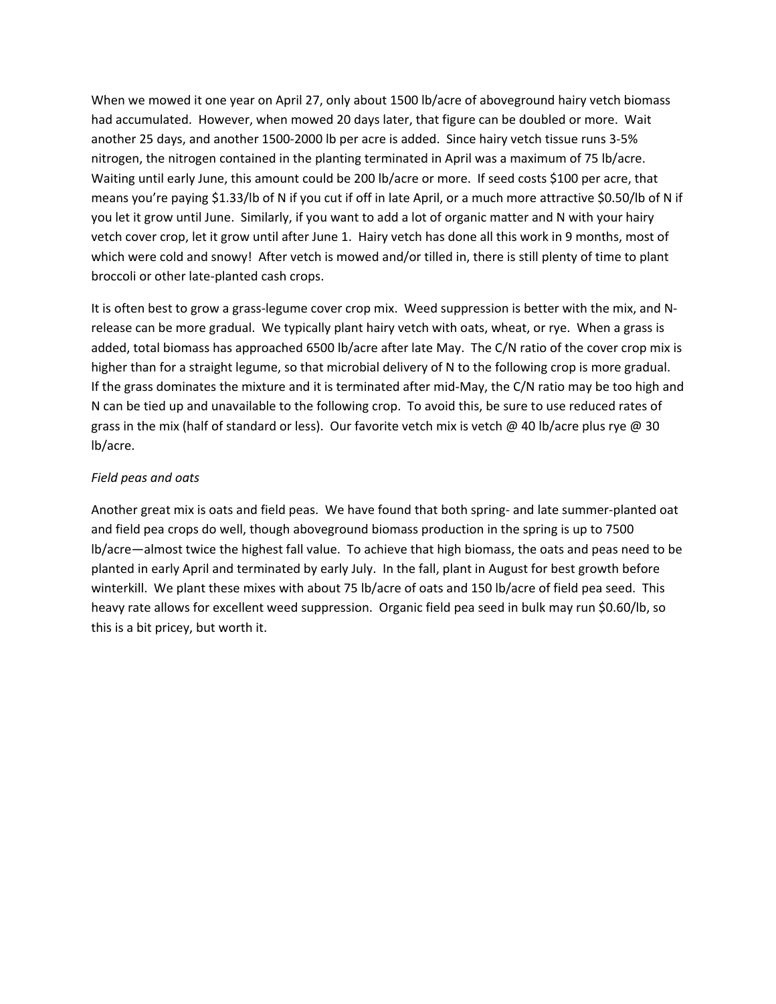When we mowed it one year on April 27, only about 1500 lb/acre of aboveground hairy vetch biomass had accumulated. However, when mowed 20 days later, that figure can be doubled or more. Wait another 25 days, and another 1500‐2000 lb per acre is added. Since hairy vetch tissue runs 3‐5% nitrogen, the nitrogen contained in the planting terminated in April was a maximum of 75 lb/acre. Waiting until early June, this amount could be 200 lb/acre or more. If seed costs \$100 per acre, that means you're paying \$1.33/lb of N if you cut if off in late April, or a much more attractive \$0.50/lb of N if you let it grow until June. Similarly, if you want to add a lot of organic matter and N with your hairy vetch cover crop, let it grow until after June 1. Hairy vetch has done all this work in 9 months, most of which were cold and snowy! After vetch is mowed and/or tilled in, there is still plenty of time to plant broccoli or other late‐planted cash crops.

It is often best to grow a grass-legume cover crop mix. Weed suppression is better with the mix, and Nrelease can be more gradual. We typically plant hairy vetch with oats, wheat, or rye. When a grass is added, total biomass has approached 6500 lb/acre after late May. The C/N ratio of the cover crop mix is higher than for a straight legume, so that microbial delivery of N to the following crop is more gradual. If the grass dominates the mixture and it is terminated after mid‐May, the C/N ratio may be too high and N can be tied up and unavailable to the following crop. To avoid this, be sure to use reduced rates of grass in the mix (half of standard or less). Our favorite vetch mix is vetch @ 40 lb/acre plus rye @ 30 lb/acre.

#### *Field peas and oats*

Another great mix is oats and field peas. We have found that both spring‐ and late summer‐planted oat and field pea crops do well, though aboveground biomass production in the spring is up to 7500 lb/acre—almost twice the highest fall value. To achieve that high biomass, the oats and peas need to be planted in early April and terminated by early July. In the fall, plant in August for best growth before winterkill. We plant these mixes with about 75 lb/acre of oats and 150 lb/acre of field pea seed. This heavy rate allows for excellent weed suppression. Organic field pea seed in bulk may run \$0.60/lb, so this is a bit pricey, but worth it.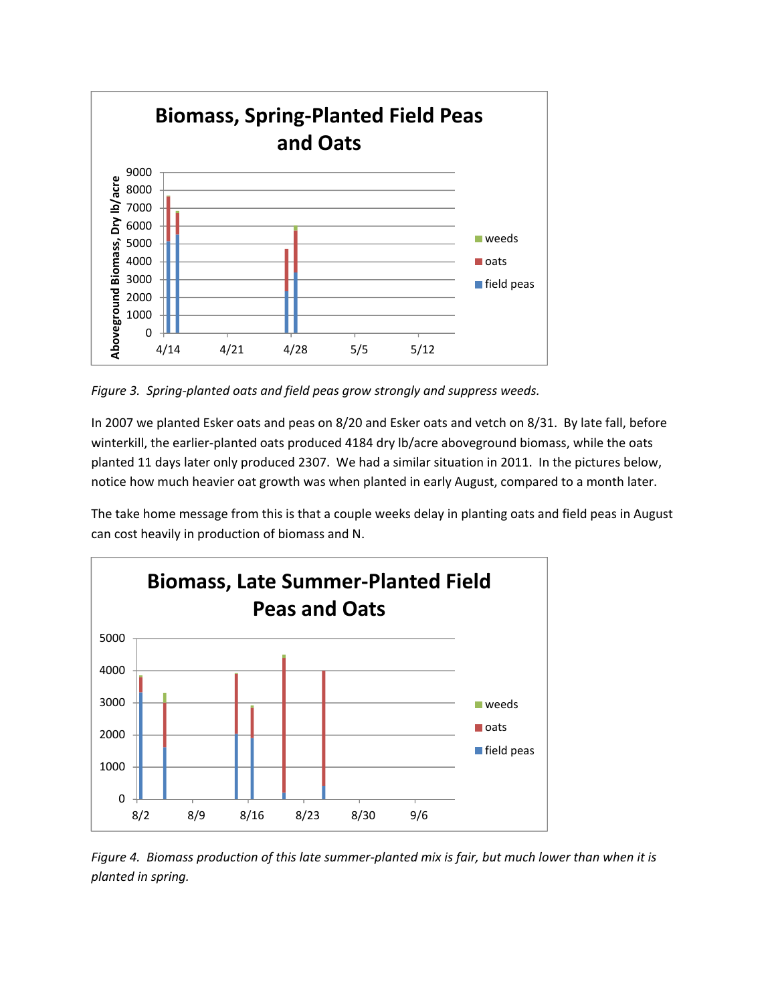

*Figure 3. Spring‐planted oats and field peas grow strongly and suppress weeds.*

In 2007 we planted Esker oats and peas on 8/20 and Esker oats and vetch on 8/31. By late fall, before winterkill, the earlier-planted oats produced 4184 dry lb/acre aboveground biomass, while the oats planted 11 days later only produced 2307. We had a similar situation in 2011. In the pictures below, notice how much heavier oat growth was when planted in early August, compared to a month later.

The take home message from this is that a couple weeks delay in planting oats and field peas in August can cost heavily in production of biomass and N.



Figure 4. Biomass production of this late summer-planted mix is fair, but much lower than when it is *planted in spring.*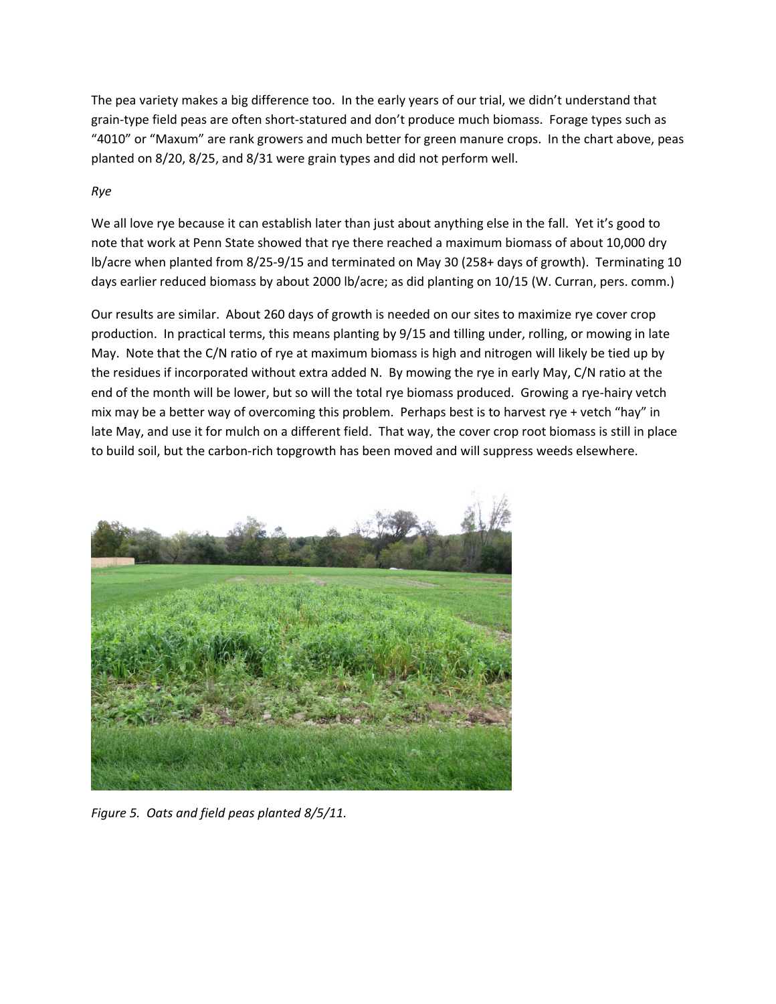The pea variety makes a big difference too. In the early years of our trial, we didn't understand that grain-type field peas are often short-statured and don't produce much biomass. Forage types such as "4010" or "Maxum" are rank growers and much better for green manure crops. In the chart above, peas planted on 8/20, 8/25, and 8/31 were grain types and did not perform well.

# *Rye*

We all love rye because it can establish later than just about anything else in the fall. Yet it's good to note that work at Penn State showed that rye there reached a maximum biomass of about 10,000 dry lb/acre when planted from 8/25‐9/15 and terminated on May 30 (258+ days of growth). Terminating 10 days earlier reduced biomass by about 2000 lb/acre; as did planting on 10/15 (W. Curran, pers. comm.)

Our results are similar. About 260 days of growth is needed on our sites to maximize rye cover crop production. In practical terms, this means planting by 9/15 and tilling under, rolling, or mowing in late May. Note that the C/N ratio of rye at maximum biomass is high and nitrogen will likely be tied up by the residues if incorporated without extra added N. By mowing the rye in early May, C/N ratio at the end of the month will be lower, but so will the total rye biomass produced. Growing a rye‐hairy vetch mix may be a better way of overcoming this problem. Perhaps best is to harvest rye + vetch "hay" in late May, and use it for mulch on a different field. That way, the cover crop root biomass is still in place to build soil, but the carbon-rich topgrowth has been moved and will suppress weeds elsewhere.



*Figure 5. Oats and field peas planted 8/5/11.*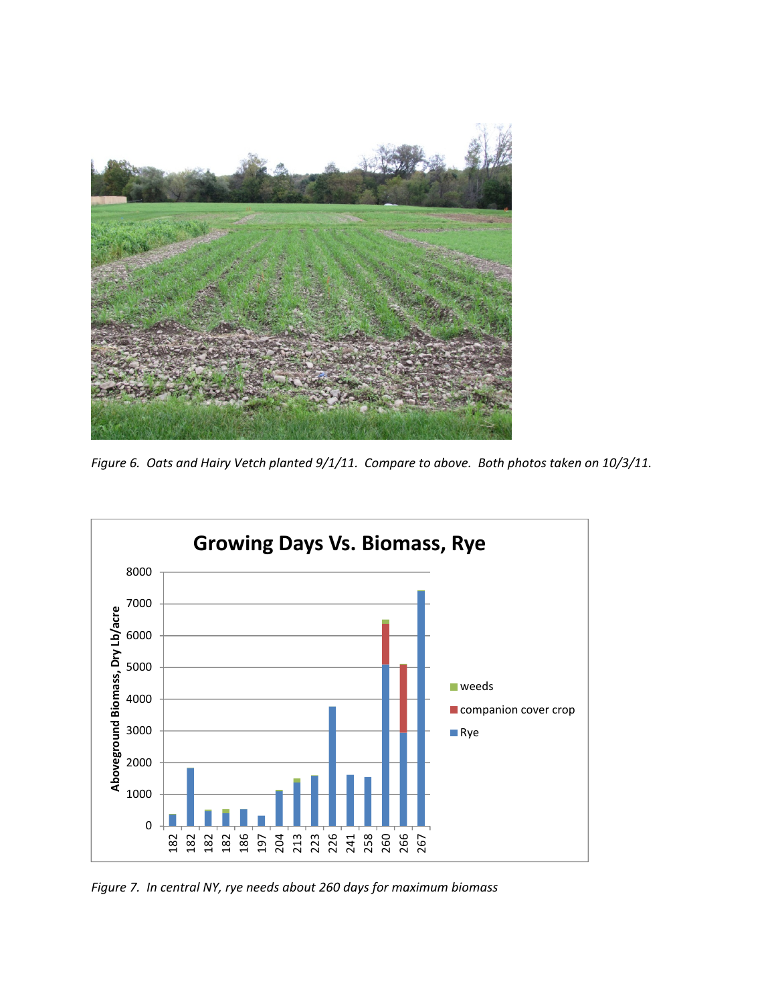

Figure 6. Oats and Hairy Vetch planted 9/1/11. Compare to above. Both photos taken on 10/3/11.



*Figure 7. In central NY, rye needs about 260 days for maximum biomass*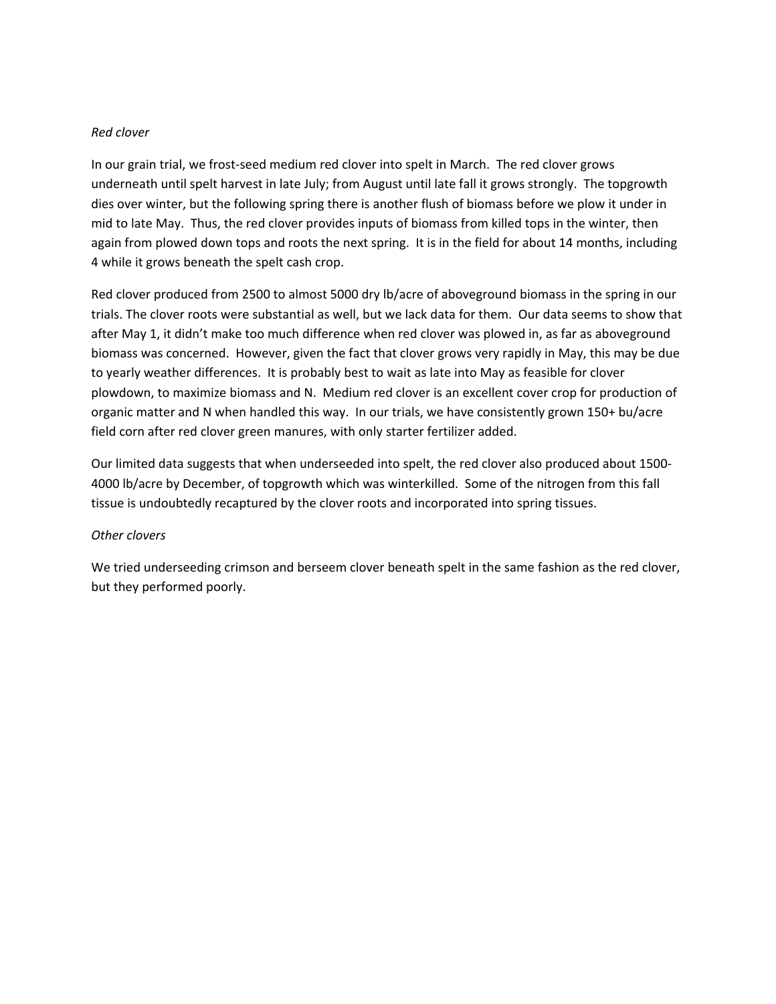#### *Red clover*

In our grain trial, we frost-seed medium red clover into spelt in March. The red clover grows underneath until spelt harvest in late July; from August until late fall it grows strongly. The topgrowth dies over winter, but the following spring there is another flush of biomass before we plow it under in mid to late May. Thus, the red clover provides inputs of biomass from killed tops in the winter, then again from plowed down tops and roots the next spring. It is in the field for about 14 months, including 4 while it grows beneath the spelt cash crop.

Red clover produced from 2500 to almost 5000 dry lb/acre of aboveground biomass in the spring in our trials. The clover roots were substantial as well, but we lack data for them. Our data seems to show that after May 1, it didn't make too much difference when red clover was plowed in, as far as aboveground biomass was concerned. However, given the fact that clover grows very rapidly in May, this may be due to yearly weather differences. It is probably best to wait as late into May as feasible for clover plowdown, to maximize biomass and N. Medium red clover is an excellent cover crop for production of organic matter and N when handled this way. In our trials, we have consistently grown 150+ bu/acre field corn after red clover green manures, with only starter fertilizer added.

Our limited data suggests that when underseeded into spelt, the red clover also produced about 1500‐ 4000 lb/acre by December, of topgrowth which was winterkilled. Some of the nitrogen from this fall tissue is undoubtedly recaptured by the clover roots and incorporated into spring tissues.

#### *Other clovers*

We tried underseeding crimson and berseem clover beneath spelt in the same fashion as the red clover, but they performed poorly.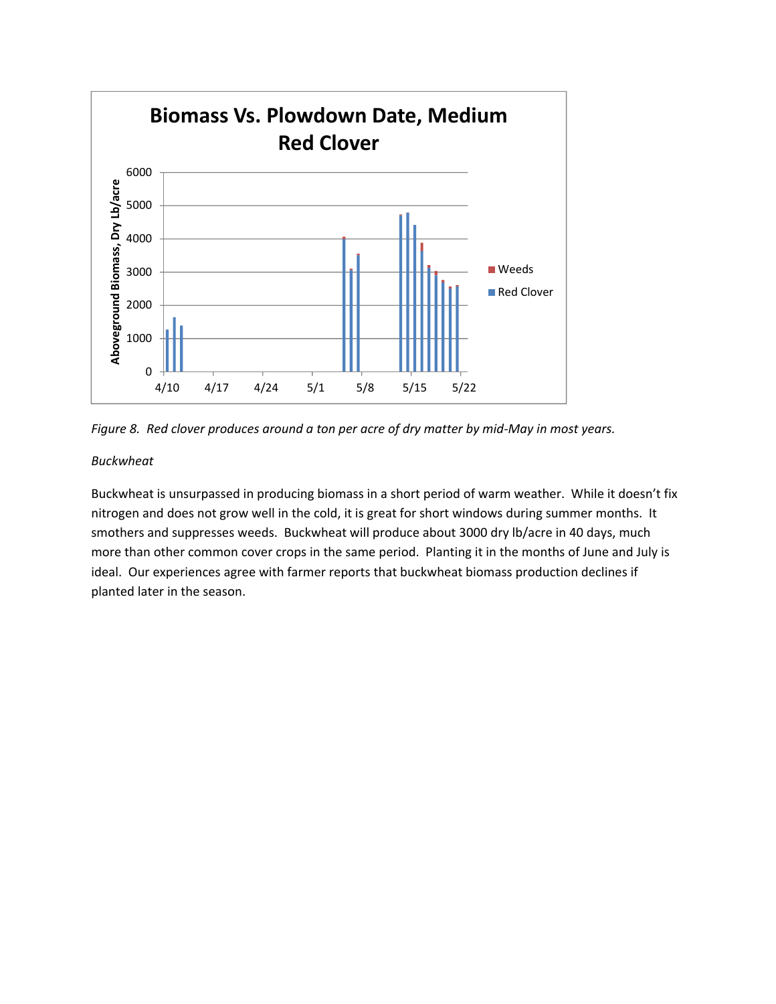



#### *Buckwheat*

Buckwheat is unsurpassed in producing biomass in a short period of warm weather. While it doesn't fix nitrogen and does not grow well in the cold, it is great for short windows during summer months. It smothers and suppresses weeds. Buckwheat will produce about 3000 dry lb/acre in 40 days, much more than other common cover crops in the same period. Planting it in the months of June and July is ideal. Our experiences agree with farmer reports that buckwheat biomass production declines if planted later in the season.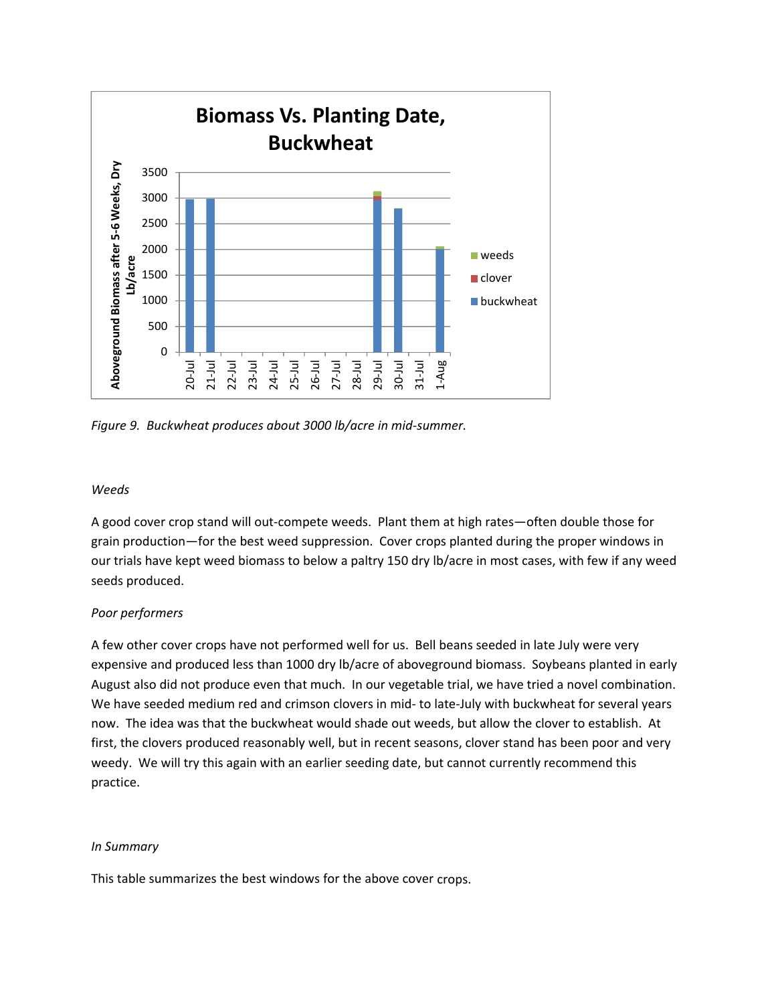

*Figure 9. Buckwheat produces about 3000 lb/acre in mid‐summer.*

#### *Weeds*

A good cover crop stand will out‐compete weeds. Plant them at high rates—often double those for grain production—for the best weed suppression. Cover crops planted during the proper windows in our trials have kept weed biomass to below a paltry 150 dry lb/acre in most cases, with few if any weed seeds produced.

## *Poor performers*

A few other cover crops have not performed well for us. Bell beans seeded in late July were very expensive and produced less than 1000 dry lb/acre of aboveground biomass. Soybeans planted in early August also did not produce even that much. In our vegetable trial, we have tried a novel combination. We have seeded medium red and crimson clovers in mid- to late-July with buckwheat for several years now. The idea was that the buckwheat would shade out weeds, but allow the clover to establish. At first, the clovers produced reasonably well, but in recent seasons, clover stand has been poor and very weedy. We will try this again with an earlier seeding date, but cannot currently recommend this practice.

#### *In Summary*

This table summarizes the best windows for the above cover crops.